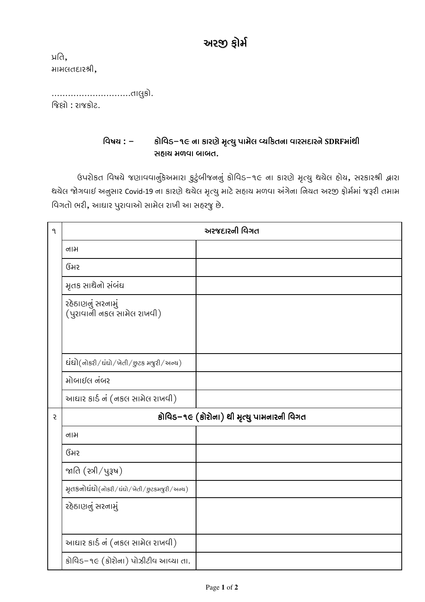## અરજી ફોર્મ

ਮਰਿ, મામલતદારશ્રી,

જિલો : રાજકોટ.

## કોવિડ–૧૯ ના કારણે મૃત્યુ પામેલ વ્યકિતના વારસદારને SDRFમાંથી વિષય **:** – સહાચ મળવા બાબત.

ઉપરોકત વિષયે જણાવવાનુંકેઅમારા કુટુંબીજનનું કોવિડ–૧૯ ના કારણે મૃત્યુ થયેલ હોય, સરકારશ્રી દ્વારા થચેલ જોગવાઈ અનુસાર Covid-19 ના કારણે થચેલ મૃત્યુ માટે સહાચ મળવા અંગેના નિચત અરજી ફોર્મમાં જરૂરી તમામ વિગતો ભરી, આઘાર પુરાવાઓ સામેલ રાખી આ સહરજુ છે.

| ٩            | અરજદારની વિગત                                   |  |  |
|--------------|-------------------------------------------------|--|--|
|              | નામ                                             |  |  |
|              | ઉંમર                                            |  |  |
|              | મૃતક સાથેનો સંબંઘ                               |  |  |
|              | રહેઠાણનું સરનામું<br>(પુરાવાની નકલ સામેલ રાખવી) |  |  |
|              | દાંદો(નોકરી/ઘંઘો/ખેતી/છુટક મજુરી/અન્ય)          |  |  |
|              | મોબાઈલ નંબર                                     |  |  |
|              | આઘાર કાર્ડ નં (નકલ સામેલ રાખવી)                 |  |  |
| <sub>5</sub> | કોવિડ–૧૯ (કોરોના) થી મૃત્યુ પામનારની વિગત       |  |  |
|              | નામ                                             |  |  |
|              | ઉંમર                                            |  |  |
|              | જાતિ $($ સ્ત્રી $/$ પુરૂષ $)$                   |  |  |
|              | મૃતકનોઘંઘો(નોકરી/ઘંઘો/ખેતી/છુટકમજુરી/અન્ય)      |  |  |
|              | રહેઠાણનું સરનામું                               |  |  |
|              | આઘાર કાર્ડ નં (નકલ સામેલ રાખવી)                 |  |  |
|              | કોવિડ–૧૯ (કોરોના) પોઝીટીવ આવ્યા તા.             |  |  |